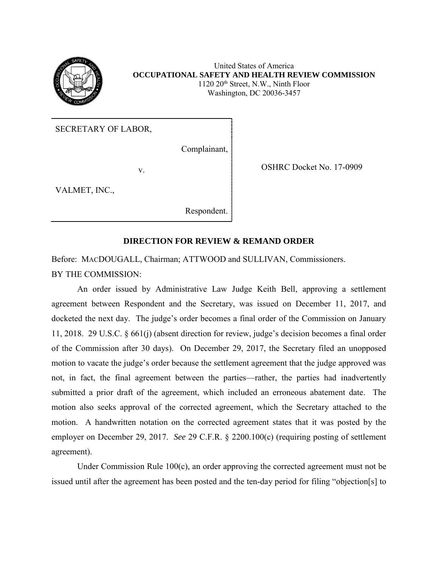

United States of America **OCCUPATIONAL SAFETY AND HEALTH REVIEW COMMISSION** 1120 20th Street, N.W., Ninth Floor Washington, DC 20036-3457

SECRETARY OF LABOR,

Complainant,

v. Solution of the COSHRC Docket No. 17-0909

VALMET, INC.,

Respondent.

## **DIRECTION FOR REVIEW & REMAND ORDER**

Before: MACDOUGALL, Chairman; ATTWOOD and SULLIVAN, Commissioners. BY THE COMMISSION:

An order issued by Administrative Law Judge Keith Bell, approving a settlement agreement between Respondent and the Secretary, was issued on December 11, 2017, and docketed the next day. The judge's order becomes a final order of the Commission on January 11, 2018. 29 U.S.C. § 661(j) (absent direction for review, judge's decision becomes a final order of the Commission after 30 days). On December 29, 2017, the Secretary filed an unopposed motion to vacate the judge's order because the settlement agreement that the judge approved was not, in fact, the final agreement between the parties—rather, the parties had inadvertently submitted a prior draft of the agreement, which included an erroneous abatement date. The motion also seeks approval of the corrected agreement, which the Secretary attached to the motion. A handwritten notation on the corrected agreement states that it was posted by the employer on December 29, 2017. *See* 29 C.F.R. § 2200.100(c) (requiring posting of settlement agreement).

Under Commission Rule 100(c), an order approving the corrected agreement must not be issued until after the agreement has been posted and the ten-day period for filing "objection[s] to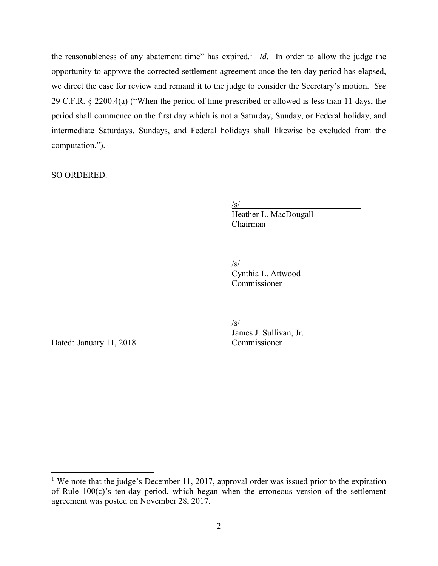the reasonableness of any abatement time" has expired.<sup>1</sup> *Id*. In order to allow the judge the opportunity to approve the corrected settlement agreement once the ten-day period has elapsed, we direct the case for review and remand it to the judge to consider the Secretary's motion. *See* 29 C.F.R. § 2200.4(a) ("When the period of time prescribed or allowed is less than 11 days, the period shall commence on the first day which is not a Saturday, Sunday, or Federal holiday, and intermediate Saturdays, Sundays, and Federal holidays shall likewise be excluded from the computation.").

SO ORDERED.

 $\sqrt{s}$ /

Heather L. MacDougall Chairman

/s/

Cynthia L. Attwood Commissioner

Dated: January 11, 2018 Commissioner

 $\overline{\phantom{a}}$ 

/s/

James J. Sullivan, Jr.

<sup>&</sup>lt;sup>1</sup> We note that the judge's December 11, 2017, approval order was issued prior to the expiration of Rule 100(c)'s ten-day period, which began when the erroneous version of the settlement agreement was posted on November 28, 2017.